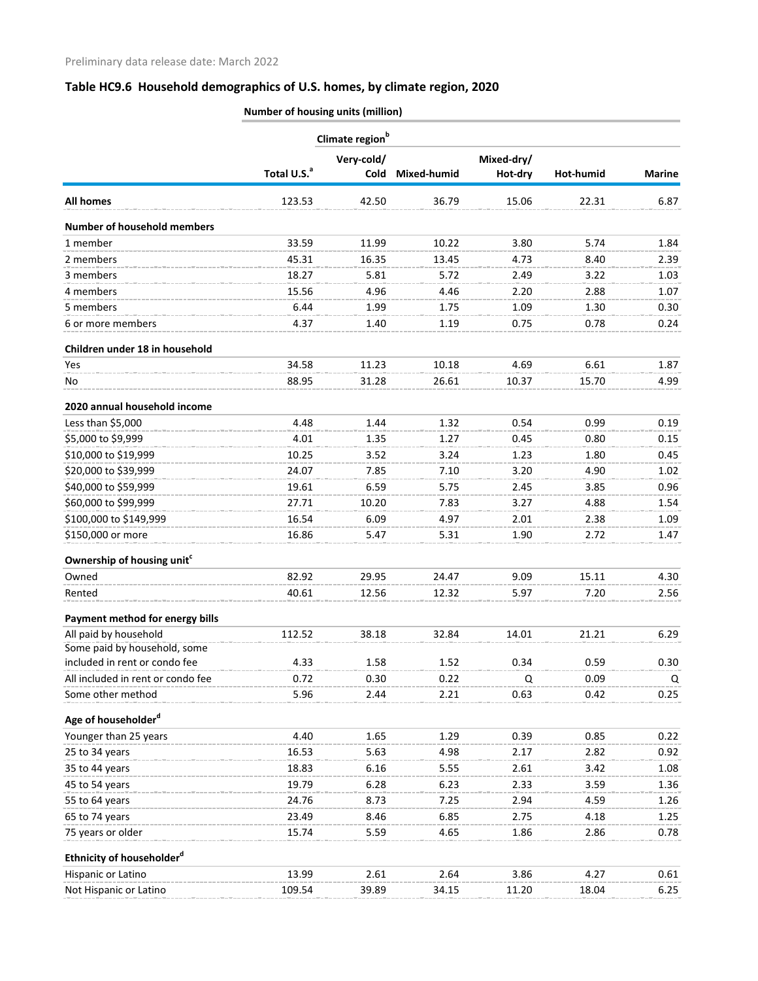# **Table HC9.6 Household demographics of U.S. homes, by climate region, 2020**

|                                                               | Climate region <sup>b</sup> |             |             |            |           |               |
|---------------------------------------------------------------|-----------------------------|-------------|-------------|------------|-----------|---------------|
|                                                               |                             | Very-cold/  |             | Mixed-dry/ |           |               |
|                                                               | Total U.S. <sup>a</sup>     | <b>Cold</b> | Mixed-humid | Hot-dry    | Hot-humid | <b>Marine</b> |
| All homes                                                     | 123.53                      | 42.50       | 36.79       | 15.06      | 22.31     | 6.87          |
| <b>Number of household members</b>                            |                             |             |             |            |           |               |
| 1 member                                                      | 33.59                       | 11.99       | 10.22       | 3.80       | 5.74      | 1.84          |
| 2 members                                                     | 45.31                       | 16.35       | 13.45       | 4.73       | 8.40      | 2.39          |
| 3 members                                                     | 18.27                       | 5.81        | 5.72        | 2.49       | 3.22      | 1.03          |
| 4 members                                                     | 15.56                       | 4.96        | 4.46        | 2.20       | 2.88      | 1.07          |
| 5 members                                                     | 6.44                        | 1.99        | 1.75        | 1.09       | 1.30      | 0.30          |
| 6 or more members                                             | 4.37                        | 1.40        | 1.19        | 0.75       | 0.78      | 0.24          |
| Children under 18 in household                                |                             |             |             |            |           |               |
| Yes.                                                          | 34.58                       | 11.23       | 10.18       | 4.69       | 6.61      | 1.87          |
| No                                                            | 88.95                       | 31.28       | 26.61       | 10.37      | 15.70     | 4.99          |
| 2020 annual household income                                  |                             |             |             |            |           |               |
| Less than \$5,000                                             | 4.48                        | 1.44        | 1.32        | 0.54       | 0.99      | 0.19          |
| \$5,000 to \$9,999                                            | 4.01                        | 1.35        | 1.27        | 0.45       | 0.80      | 0.15          |
| \$10,000 to \$19,999                                          | 10.25                       | 3.52        | 3.24        | 1.23       | 1.80      | 0.45          |
| \$20,000 to \$39,999                                          | 24.07                       | 7.85        | 7.10        | 3.20       | 4.90      | 1.02          |
| \$40,000 to \$59,999                                          | 19.61                       | 6.59        | 5.75        | 2.45       | 3.85      | 0.96          |
| \$60,000 to \$99,999                                          | 27.71                       | 10.20       | 7.83        | 3.27       | 4.88      | 1.54          |
| \$100,000 to \$149,999                                        | 16.54                       | 6.09        | 4.97        | 2.01       | 2.38      | 1.09          |
| \$150,000 or more                                             | 16.86                       | 5.47        | 5.31        | 1.90       | 2.72      | 1.47          |
| Ownership of housing unit <sup>c</sup>                        |                             |             |             |            |           |               |
| Owned                                                         | 82.92                       | 29.95       | 24.47       | 9.09       | 15.11     | 4.30          |
| Rented                                                        | 40.61                       | 12.56       | 12.32       | 5.97       | 7.20      | 2.56          |
| Payment method for energy bills                               |                             |             |             |            |           |               |
| All paid by household                                         | 112.52                      | 38.18       | 32.84       | 14.01      | 21.21     | 6.29          |
| Some paid by household, some<br>included in rent or condo fee | 4.33                        | 1.58        | 1.52        | 0.34       | 0.59      | 0.30          |
| All included in rent or condo fee                             | 0.72                        | 0.30        | 0.22        | Q          | 0.09      | Q             |
| Some other method                                             | 5.96                        | 2.44        | 2.21        | 0.63       | 0.42      | 0.25          |
|                                                               |                             |             |             |            |           |               |
| Age of householder <sup>d</sup>                               |                             |             |             |            |           |               |
| Younger than 25 years                                         | 4.40                        | 1.65        | 1.29        | 0.39       | 0.85      | 0.22          |
| 25 to 34 years                                                | 16.53                       | 5.63        | 4.98        | 2.17       | 2.82      | 0.92          |
| 35 to 44 years                                                | 18.83                       | 6.16        | 5.55        | 2.61       | 3.42      | 1.08          |
| 45 to 54 years                                                | 19.79                       | 6.28        | 6.23        | 2.33       | 3.59      | 1.36          |
| 55 to 64 years                                                | 24.76                       | 8.73        | 7.25        | 2.94       | 4.59      | 1.26          |
| 65 to 74 years                                                | 23.49                       | 8.46        | 6.85        | 2.75       | 4.18      | 1.25          |
| 75 years or older                                             | 15.74                       | 5.59        | 4.65        | 1.86       | 2.86      | 0.78          |
| Ethnicity of householder <sup>d</sup>                         |                             |             |             |            |           |               |
| Hispanic or Latino                                            | 13.99                       | 2.61        | 2.64        | 3.86       | 4.27      | 0.61          |
| Not Hispanic or Latino                                        | 109.54                      | 39.89       | 34.15       | 11.20      | 18.04     | 6.25          |

**Number of housing units (million)**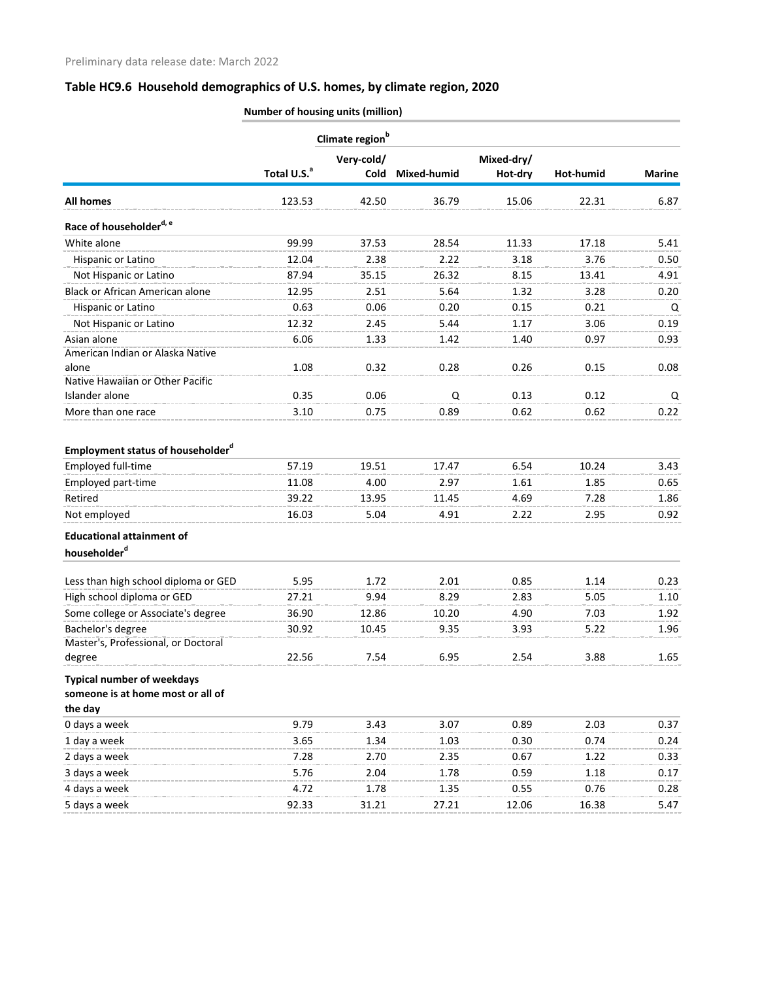# **Table HC9.6 Household demographics of U.S. homes, by climate region, 2020**

|                                                              | Climate region <sup>b</sup> |            |             |            |           |               |
|--------------------------------------------------------------|-----------------------------|------------|-------------|------------|-----------|---------------|
|                                                              |                             | Very-cold/ |             | Mixed-dry/ |           |               |
|                                                              | Total U.S. <sup>a</sup>     | Cold       | Mixed-humid | Hot-dry    | Hot-humid | <b>Marine</b> |
| <b>All homes</b>                                             | 123.53                      | 42.50      | 36.79       | 15.06      | 22.31     | 6.87          |
| Race of householder <sup>d, e</sup>                          |                             |            |             |            |           |               |
| White alone                                                  | 99.99                       | 37.53      | 28.54       | 11.33      | 17.18     | 5.41          |
| Hispanic or Latino                                           | 12.04                       | 2.38       | 2.22        | 3.18       | 3.76      | 0.50          |
| Not Hispanic or Latino                                       | 87.94                       | 35.15      | 26.32       | 8.15       | 13.41     | 4.91          |
| <b>Black or African American alone</b>                       | 12.95                       | 2.51       | 5.64        | 1.32       | 3.28      | 0.20          |
| Hispanic or Latino                                           | 0.63                        | 0.06       | 0.20        | 0.15       | 0.21      | Q             |
| Not Hispanic or Latino                                       | 12.32                       | 2.45       | 5.44        | 1.17       | 3.06      | 0.19          |
| Asian alone                                                  | 6.06                        | 1.33       | 1.42        | 1.40       | 0.97      | 0.93          |
| American Indian or Alaska Native                             |                             |            |             |            |           |               |
| alone                                                        | 1.08                        | 0.32       | 0.28        | 0.26       | 0.15      | 0.08          |
| Native Hawaiian or Other Pacific                             |                             |            |             |            |           |               |
| Islander alone                                               | 0.35                        | 0.06       | Q           | 0.13       | 0.12      | Q             |
| More than one race                                           | 3.10                        | 0.75       | 0.89        | 0.62       | 0.62      | 0.22          |
| <b>Employment status of householder</b> <sup>d</sup>         |                             |            |             |            |           |               |
| Employed full-time                                           | 57.19                       | 19.51      | 17.47       | 6.54       | 10.24     | 3.43          |
| Employed part-time                                           | 11.08                       | 4.00       | 2.97        | 1.61       | 1.85      | 0.65          |
| Retired                                                      | 39.22                       | 13.95      | 11.45       | 4.69       | 7.28      | 1.86          |
| Not employed                                                 | 16.03                       | 5.04       | 4.91        | 2.22       | 2.95      | 0.92          |
|                                                              |                             |            |             |            |           |               |
| <b>Educational attainment of</b><br>householder <sup>d</sup> |                             |            |             |            |           |               |
|                                                              |                             |            |             |            |           |               |
| Less than high school diploma or GED                         | 5.95                        | 1.72       | 2.01        | 0.85       | 1.14      | 0.23          |
| High school diploma or GED                                   | 27.21                       | 9.94       | 8.29        | 2.83       | 5.05      | 1.10          |
| Some college or Associate's degree                           | 36.90                       | 12.86      | 10.20       | 4.90       | 7.03      | 1.92          |
| Bachelor's degree                                            | 30.92                       | 10.45      | 9.35        | 3.93       | 5.22      | 1.96          |
| Master's, Professional, or Doctoral                          |                             |            |             |            |           |               |
| degree                                                       | 22.56                       | 7.54       | 6.95        | 2.54       | 3.88      | 1.65          |
| <b>Typical number of weekdays</b>                            |                             |            |             |            |           |               |
| someone is at home most or all of                            |                             |            |             |            |           |               |
| the day                                                      |                             |            |             |            |           |               |
| 0 days a week                                                | 9.79                        | 3.43       | 3.07        | 0.89       | 2.03      | 0.37          |
| 1 day a week                                                 | 3.65                        | 1.34       | 1.03        | 0.30       | 0.74      | 0.24          |
| 2 days a week                                                | 7.28                        | 2.70       | 2.35        | 0.67       | 1.22      | 0.33          |
| 3 days a week                                                | 5.76                        | 2.04       | 1.78        | 0.59       | 1.18      | 0.17          |
| 4 days a week                                                | 4.72                        | 1.78       | 1.35        | 0.55       | 0.76      | 0.28          |
| 5 days a week                                                | 92.33                       | 31.21      | 27.21       | 12.06      | 16.38     | 5.47          |
|                                                              |                             |            |             |            |           |               |

**Number of housing units (million)**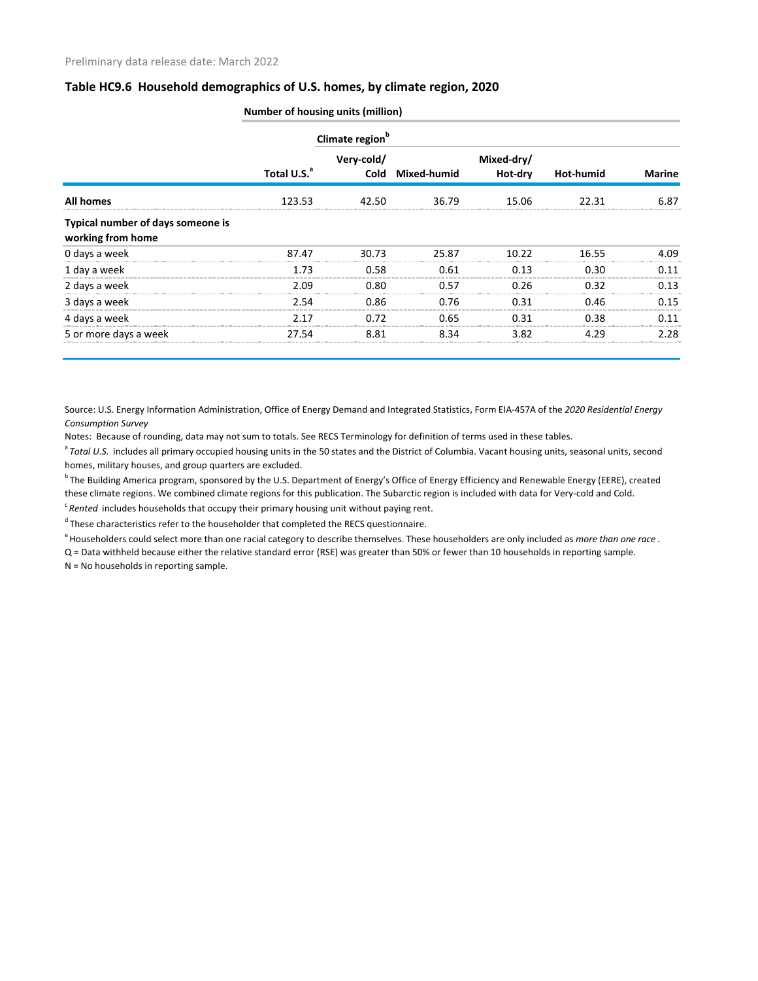#### **Table HC9.6 Household demographics of U.S. homes, by climate region, 2020**

|                                                        |                         | Climate region <sup>b</sup> |                  |                       |                  |               |
|--------------------------------------------------------|-------------------------|-----------------------------|------------------|-----------------------|------------------|---------------|
|                                                        | Total U.S. <sup>a</sup> | Very-cold/                  | Cold Mixed-humid | Mixed-dry/<br>Hot-dry | <b>Hot-humid</b> | <b>Marine</b> |
| All homes                                              | 123.53                  | 42.50                       | 36.79            | 15.06                 | 22.31            | 6.87          |
| Typical number of days someone is<br>working from home |                         |                             |                  |                       |                  |               |
| 0 days a week                                          | 87.47                   | 30.73                       | 25.87            | 10.22                 | 16.55            | 4.09          |
| 1 day a week                                           | 1.73                    | 0.58                        | 0.61             | 0.13                  | 0.30             | 0.11          |
| 2 days a week                                          | 2.09                    | 0.80                        | 0.57             | 0.26                  | 0.32             | 0.13          |
| 3 days a week                                          | 2.54                    | 0.86                        | 0.76             | 0.31                  | 0.46             | 0.15          |
| 4 days a week                                          | 2.17                    | 0.72                        | 0.65             | 0.31                  | 0.38             | 0.11          |
| 5 or more days a week                                  | 27.54                   | 8.81                        | 8.34             | 3.82                  | 4.29             | 2.28          |

**Number of housing units (million)**

Source: U.S. Energy Information Administration, Office of Energy Demand and Integrated Statistics, Form EIA-457A of the *2020 Residential Energy Consumption Survey*

Notes: Because of rounding, data may not sum to totals. See RECS Terminology for definition of terms used in these tables.

<sup>a</sup> Total U.S. includes all primary occupied housing units in the 50 states and the District of Columbia. Vacant housing units, seasonal units, second homes, military houses, and group quarters are excluded.

<sup>b</sup> The Building America program, sponsored by the U.S. Department of Energy's Office of Energy Efficiency and Renewable Energy (EERE), created these climate regions. We combined climate regions for this publication. The Subarctic region is included with data for Very-cold and Cold.

<sup>c</sup> Rented includes households that occupy their primary housing unit without paying rent.

<sup>d</sup> These characteristics refer to the householder that completed the RECS questionnaire.

<sup>e</sup> Householders could select more than one racial category to describe themselves. These householders are only included as *more than one race*.

Q = Data withheld because either the relative standard error (RSE) was greater than 50% or fewer than 10 households in reporting sample.

N = No households in reporting sample.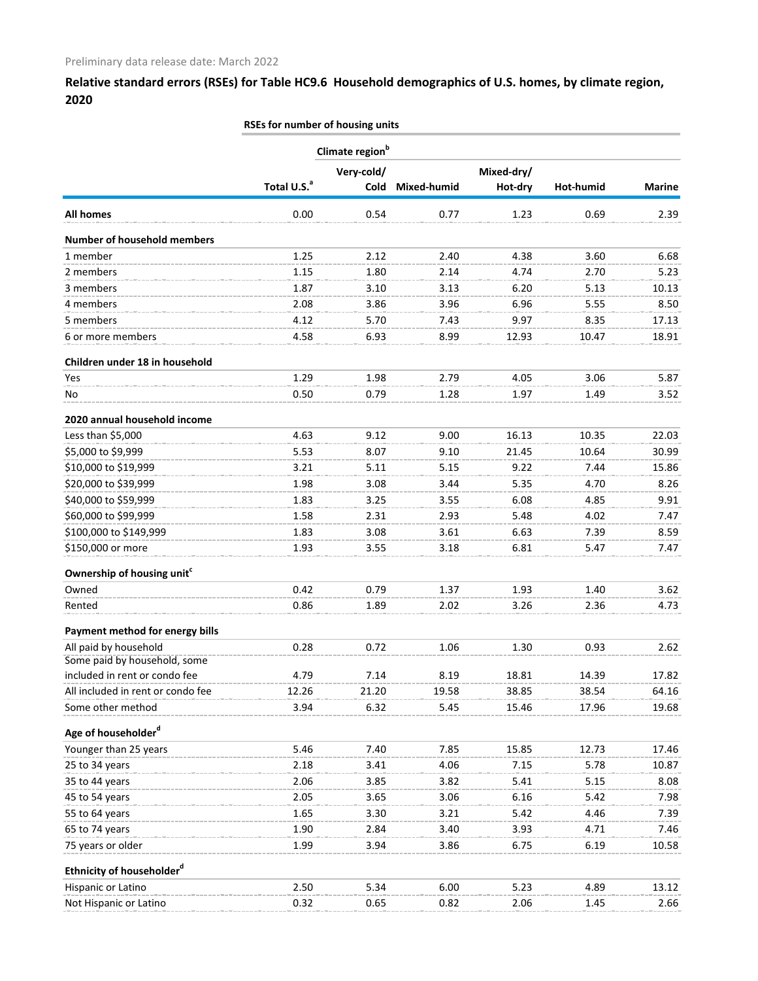### **Relative standard errors (RSEs) for Table HC9.6 Household demographics of U.S. homes, by climate region, 2020**

|                                                       | RSEs for number of housing units |                    |             |                       |           |               |
|-------------------------------------------------------|----------------------------------|--------------------|-------------|-----------------------|-----------|---------------|
|                                                       | Climate region <sup>b</sup>      |                    |             |                       |           |               |
|                                                       | Total U.S. <sup>a</sup>          | Very-cold/<br>Cold | Mixed-humid | Mixed-dry/<br>Hot-dry | Hot-humid | <b>Marine</b> |
| All homes                                             | 0.00                             | 0.54               | 0.77        | 1.23                  | 0.69      | 2.39          |
| <b>Number of household members</b>                    |                                  |                    |             |                       |           |               |
| 1 member                                              | 1.25                             | 2.12               | 2.40        | 4.38                  | 3.60      | 6.68          |
| 2 members                                             | 1.15                             | 1.80               | 2.14        | 4.74                  | 2.70      | 5.23          |
| 3 members                                             | 1.87                             | 3.10               | 3.13        | 6.20                  | 5.13      | 10.13         |
| 4 members                                             | 2.08                             | 3.86               | 3.96        | 6.96                  | 5.55      | 8.50          |
| 5 members                                             | 4.12                             | 5.70               | 7.43        | 9.97                  | 8.35      | 17.13         |
| 6 or more members                                     | 4.58                             | 6.93               | 8.99        | 12.93                 | 10.47     | 18.91         |
| Children under 18 in household                        |                                  |                    |             |                       |           |               |
| Yes                                                   | 1.29                             | 1.98               | 2.79        | 4.05                  | 3.06      | 5.87          |
| No                                                    | 0.50                             | 0.79               | 1.28        | 1.97                  | 1.49      | 3.52          |
| 2020 annual household income                          |                                  |                    |             |                       |           |               |
| Less than \$5,000                                     | 4.63                             | 9.12               | 9.00        | 16.13                 | 10.35     | 22.03         |
| \$5,000 to \$9,999                                    | 5.53                             | 8.07               | 9.10        | 21.45                 | 10.64     | 30.99         |
| \$10,000 to \$19,999                                  | 3.21                             | 5.11               | 5.15        | 9.22                  | 7.44      | 15.86         |
| \$20,000 to \$39,999                                  | 1.98                             | 3.08               | 3.44        | 5.35                  | 4.70      | 8.26          |
| \$40,000 to \$59,999                                  | 1.83                             | 3.25               | 3.55        | 6.08                  | 4.85      | 9.91          |
| \$60,000 to \$99,999                                  | 1.58                             | 2.31               | 2.93        | 5.48                  | 4.02      | 7.47          |
| \$100,000 to \$149,999                                | 1.83                             | 3.08               | 3.61        | 6.63                  | 7.39      | 8.59          |
| \$150,000 or more                                     | 1.93                             | 3.55               | 3.18        | 6.81                  | 5.47      | 7.47          |
| Ownership of housing unit <sup>c</sup>                |                                  |                    |             |                       |           |               |
| Owned                                                 | 0.42                             | 0.79               | 1.37        | 1.93                  | 1.40      | 3.62          |
| Rented                                                | 0.86                             | 1.89               | 2.02        | 3.26                  | 2.36      | 4.73          |
| Payment method for energy bills                       |                                  |                    |             |                       |           |               |
| All paid by household<br>Some paid by household, some | 0.28                             | 0.72               | 1.06        | 1.30                  | 0.93      | 2.62          |
| included in rent or condo fee                         | 4.79                             | 7.14               | 8.19        | 18.81                 | 14.39     | 17.82         |
| All included in rent or condo fee                     | 12.26                            | 21.20              | 19.58       | 38.85                 | 38.54     | 64.16         |
| Some other method                                     | 3.94                             | 6.32               | 5.45        | 15.46                 | 17.96     | 19.68         |
| Age of householder <sup>d</sup>                       |                                  |                    |             |                       |           |               |
| Younger than 25 years                                 | 5.46                             | 7.40               | 7.85        | 15.85                 | 12.73     | 17.46         |
| 25 to 34 years                                        | 2.18                             | 3.41               | 4.06        | 7.15                  | 5.78      | 10.87         |
| 35 to 44 years                                        | 2.06                             | 3.85               | 3.82        | 5.41                  | 5.15      | 8.08          |
| 45 to 54 years                                        | 2.05                             | 3.65               | 3.06        | 6.16                  | 5.42      | 7.98          |
| 55 to 64 years                                        | 1.65                             | 3.30               | 3.21        | 5.42                  | 4.46      | 7.39          |
| 65 to 74 years                                        | 1.90                             | 2.84               | 3.40        | 3.93                  | 4.71      | 7.46          |
| 75 years or older                                     | 1.99                             | 3.94               | 3.86        | 6.75                  | 6.19      | 10.58         |
| Ethnicity of householder <sup>d</sup>                 |                                  |                    |             |                       |           |               |
| Hispanic or Latino                                    | 2.50                             | 5.34               | 6.00        | 5.23                  | 4.89      | 13.12         |
| Not Hispanic or Latino                                | 0.32                             | 0.65               | 0.82        | 2.06                  | 1.45      | 2.66          |
|                                                       |                                  |                    |             |                       |           |               |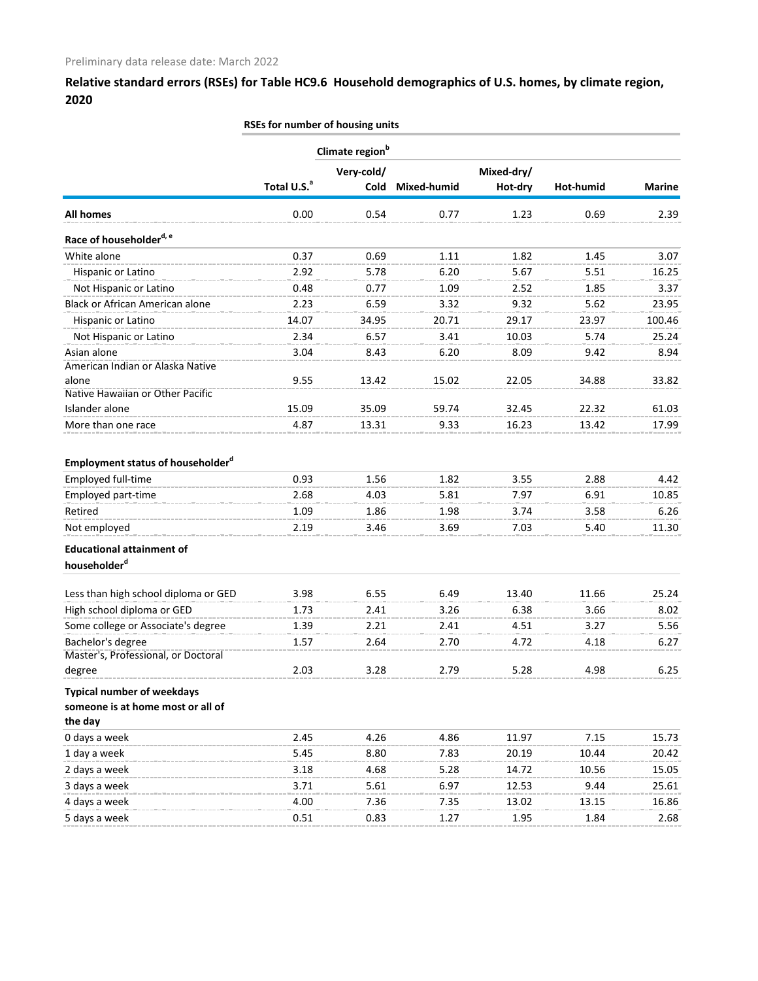**Relative standard errors (RSEs) for Table HC9.6 Household demographics of U.S. homes, by climate region, 2020**

|                                                                        | RSEs for number of housing units |            |             |            |               |                |
|------------------------------------------------------------------------|----------------------------------|------------|-------------|------------|---------------|----------------|
|                                                                        | Climate region <sup>b</sup>      |            |             |            |               |                |
|                                                                        |                                  | Very-cold/ |             | Mixed-dry/ |               |                |
|                                                                        | Total U.S. <sup>a</sup>          | Cold       | Mixed-humid | Hot-dry    | Hot-humid     | <b>Marine</b>  |
| <b>All homes</b>                                                       | 0.00                             | 0.54       | 0.77        | 1.23       | 0.69          | 2.39           |
| Race of householder <sup>d, e</sup>                                    |                                  |            |             |            |               |                |
| White alone                                                            | 0.37                             | 0.69       | 1.11        | 1.82       | 1.45          | 3.07           |
| Hispanic or Latino                                                     | 2.92                             | 5.78       | 6.20        | 5.67       | 5.51          | 16.25          |
| Not Hispanic or Latino                                                 | 0.48                             | 0.77       | 1.09        | 2.52       | 1.85          | 3.37           |
| <b>Black or African American alone</b>                                 | 2.23                             | 6.59       | 3.32        | 9.32       | 5.62          | 23.95          |
| Hispanic or Latino                                                     | 14.07                            | 34.95      | 20.71       | 29.17      | 23.97         | 100.46         |
| Not Hispanic or Latino                                                 | 2.34                             | 6.57       | 3.41        | 10.03      | 5.74          | 25.24          |
| Asian alone                                                            | 3.04                             | 8.43       | 6.20        | 8.09       | 9.42          | 8.94           |
| American Indian or Alaska Native                                       |                                  |            |             |            |               |                |
| alone                                                                  | 9.55                             | 13.42      | 15.02       | 22.05      | 34.88         | 33.82          |
| Native Hawaiian or Other Pacific                                       |                                  |            |             |            |               |                |
| Islander alone                                                         | 15.09                            | 35.09      | 59.74       | 32.45      | 22.32         | 61.03          |
| More than one race                                                     | 4.87                             | 13.31      | 9.33        | 16.23      | 13.42         | 17.99          |
| <b>Employment status of householder</b> <sup>a</sup>                   |                                  |            |             |            |               |                |
| Employed full-time                                                     | 0.93                             | 1.56       | 1.82        | 3.55       | 2.88          | 4.42           |
| Employed part-time                                                     | 2.68                             | 4.03       | 5.81        | 7.97       | 6.91          | 10.85          |
| Retired                                                                | 1.09                             | 1.86       | 1.98        | 3.74       | 3.58          | 6.26           |
| Not employed                                                           | 2.19                             | 3.46       | 3.69        | 7.03       | 5.40          | 11.30          |
| <b>Educational attainment of</b>                                       |                                  |            |             |            |               |                |
| householder <sup>d</sup>                                               |                                  |            |             |            |               |                |
| Less than high school diploma or GED                                   | 3.98                             | 6.55       | 6.49        | 13.40      | 11.66         | 25.24          |
| High school diploma or GED                                             | 1.73                             | 2.41       | 3.26        | 6.38       | 3.66          | 8.02           |
| Some college or Associate's degree                                     | 1.39                             | 2.21       | 2.41        | 4.51       | 3.Z/          | 5.56           |
| Bachelor's degree                                                      | 1.57                             | 2.64       | 2.70        | 4.72       | 4.18          | 6.27           |
| Master's, Professional, or Doctoral                                    |                                  |            |             |            |               |                |
| degree                                                                 | 2.03                             | 3.28       | 2.79        | 5.28       | 4.98          | 6.25           |
| <b>Typical number of weekdays</b><br>someone is at home most or all of |                                  |            |             |            |               |                |
| the day<br>0 days a week                                               | 2.45                             | 4.26       | 4.86        | 11.97      | 7.15          | 15.73          |
|                                                                        |                                  |            |             |            |               |                |
| 1 day a week                                                           | 5.45                             | 8.80       | 7.83        | 20.19      | 10.44         | 20.42          |
| 2 days a week                                                          | 3.18                             | 4.68       | 5.28        | 14.72      | 10.56<br>9.44 | 15.05<br>25.61 |
| 3 days a week                                                          | 3.71                             | 5.61       | 6.97        | 12.53      |               |                |
| 4 days a week                                                          | 4.00                             | 7.36       | 7.35        | 13.02      | 13.15         | 16.86          |
| 5 days a week                                                          | 0.51                             | 0.83       | 1.27        | 1.95       | 1.84          | 2.68           |